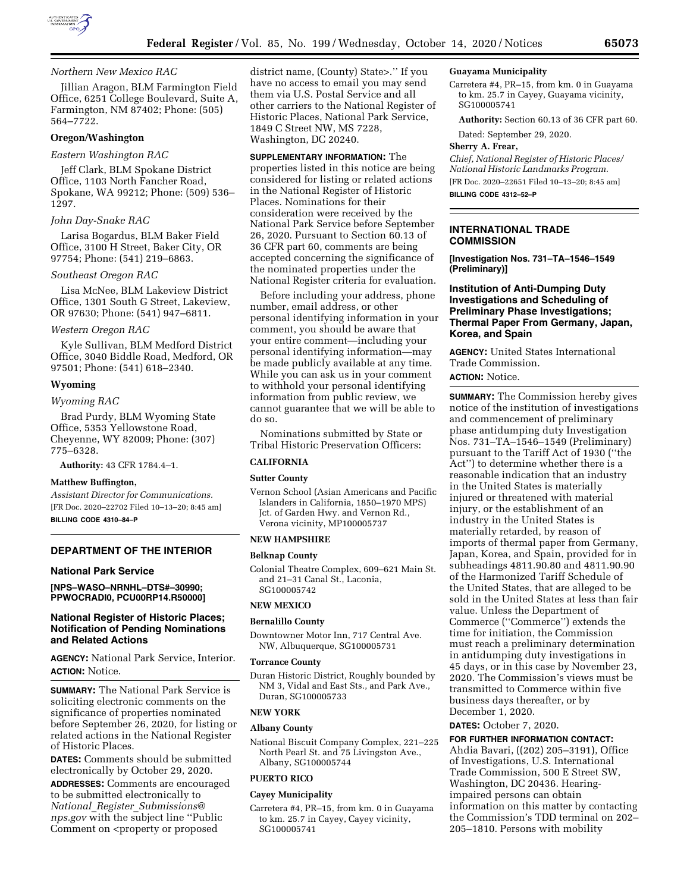

## *Northern New Mexico RAC*

Jillian Aragon, BLM Farmington Field Office, 6251 College Boulevard, Suite A, Farmington, NM 87402; Phone: (505) 564–7722.

## **Oregon/Washington**

#### *Eastern Washington RAC*

Jeff Clark, BLM Spokane District Office, 1103 North Fancher Road, Spokane, WA 99212; Phone: (509) 536– 1297.

#### *John Day-Snake RAC*

Larisa Bogardus, BLM Baker Field Office, 3100 H Street, Baker City, OR 97754; Phone: (541) 219–6863.

## *Southeast Oregon RAC*

Lisa McNee, BLM Lakeview District Office, 1301 South G Street, Lakeview, OR 97630; Phone: (541) 947–6811.

#### *Western Oregon RAC*

Kyle Sullivan, BLM Medford District Office, 3040 Biddle Road, Medford, OR 97501; Phone: (541) 618–2340.

#### **Wyoming**

#### *Wyoming RAC*

Brad Purdy, BLM Wyoming State Office, 5353 Yellowstone Road, Cheyenne, WY 82009; Phone: (307) 775–6328.

**Authority:** 43 CFR 1784.4–1.

#### **Matthew Buffington,**

*Assistant Director for Communications.*  [FR Doc. 2020–22702 Filed 10–13–20; 8:45 am] **BILLING CODE 4310–84–P** 

#### **DEPARTMENT OF THE INTERIOR**

## **National Park Service**

**[NPS–WASO–NRNHL–DTS#–30990; PPWOCRADI0, PCU00RP14.R50000]** 

## **National Register of Historic Places; Notification of Pending Nominations and Related Actions**

**AGENCY:** National Park Service, Interior. **ACTION:** Notice.

**SUMMARY:** The National Park Service is soliciting electronic comments on the significance of properties nominated before September 26, 2020, for listing or related actions in the National Register of Historic Places.

**DATES:** Comments should be submitted electronically by October 29, 2020. **ADDRESSES:** Comments are encouraged to be submitted electronically to *National*\_*Register*\_*[Submissions@](mailto:National_Register_Submissions@nps.gov) [nps.gov](mailto:National_Register_Submissions@nps.gov)* with the subject line ''Public Comment on <property or proposed

district name, (County) State>.'' If you have no access to email you may send them via U.S. Postal Service and all other carriers to the National Register of Historic Places, National Park Service, 1849 C Street NW, MS 7228, Washington, DC 20240.

**SUPPLEMENTARY INFORMATION:** The properties listed in this notice are being considered for listing or related actions in the National Register of Historic Places. Nominations for their consideration were received by the National Park Service before September 26, 2020. Pursuant to Section 60.13 of 36 CFR part 60, comments are being accepted concerning the significance of the nominated properties under the National Register criteria for evaluation.

Before including your address, phone number, email address, or other personal identifying information in your comment, you should be aware that your entire comment—including your personal identifying information—may be made publicly available at any time. While you can ask us in your comment to withhold your personal identifying information from public review, we cannot guarantee that we will be able to do so.

Nominations submitted by State or Tribal Historic Preservation Officers:

# **CALIFORNIA**

## **Sutter County**

Vernon School (Asian Americans and Pacific Islanders in California, 1850–1970 MPS) Jct. of Garden Hwy. and Vernon Rd., Verona vicinity, MP100005737

## **NEW HAMPSHIRE**

## **Belknap County**

Colonial Theatre Complex, 609–621 Main St. and 21–31 Canal St., Laconia, SG100005742

#### **NEW MEXICO**

#### **Bernalillo County**

Downtowner Motor Inn, 717 Central Ave. NW, Albuquerque, SG100005731

#### **Torrance County**

Duran Historic District, Roughly bounded by NM 3, Vidal and East Sts., and Park Ave., Duran, SG100005733

#### **NEW YORK**

## **Albany County**

National Biscuit Company Complex, 221–225 North Pearl St. and 75 Livingston Ave., Albany, SG100005744

#### **PUERTO RICO**

## **Cayey Municipality**

Carretera #4, PR–15, from km. 0 in Guayama to km. 25.7 in Cayey, Cayey vicinity, SG100005741

#### **Guayama Municipality**

Carretera #4, PR–15, from km. 0 in Guayama to km. 25.7 in Cayey, Guayama vicinity, SG100005741

**Authority:** Section 60.13 of 36 CFR part 60.

Dated: September 29, 2020.

## **Sherry A. Frear,**

*Chief, National Register of Historic Places/ National Historic Landmarks Program.*  [FR Doc. 2020–22651 Filed 10–13–20; 8:45 am] **BILLING CODE 4312–52–P** 

## **INTERNATIONAL TRADE COMMISSION**

**[Investigation Nos. 731–TA–1546–1549 (Preliminary)]** 

## **Institution of Anti-Dumping Duty Investigations and Scheduling of Preliminary Phase Investigations; Thermal Paper From Germany, Japan, Korea, and Spain**

**AGENCY:** United States International Trade Commission.

**ACTION:** Notice.

**SUMMARY:** The Commission hereby gives notice of the institution of investigations and commencement of preliminary phase antidumping duty Investigation Nos. 731–TA–1546–1549 (Preliminary) pursuant to the Tariff Act of 1930 (''the Act'') to determine whether there is a reasonable indication that an industry in the United States is materially injured or threatened with material injury, or the establishment of an industry in the United States is materially retarded, by reason of imports of thermal paper from Germany, Japan, Korea, and Spain, provided for in subheadings 4811.90.80 and 4811.90.90 of the Harmonized Tariff Schedule of the United States, that are alleged to be sold in the United States at less than fair value. Unless the Department of Commerce (''Commerce'') extends the time for initiation, the Commission must reach a preliminary determination in antidumping duty investigations in 45 days, or in this case by November 23, 2020. The Commission's views must be transmitted to Commerce within five business days thereafter, or by December 1, 2020.

## **DATES:** October 7, 2020.

**FOR FURTHER INFORMATION CONTACT:**  Ahdia Bavari, ((202) 205–3191), Office of Investigations, U.S. International Trade Commission, 500 E Street SW, Washington, DC 20436. Hearingimpaired persons can obtain information on this matter by contacting the Commission's TDD terminal on 202– 205–1810. Persons with mobility